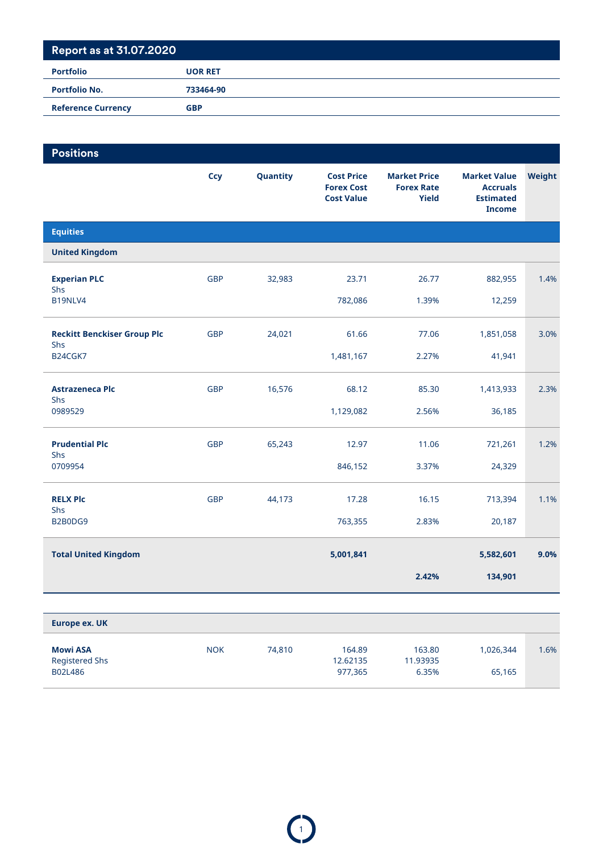| <b>Portfolio</b>          | <b>UOR RET</b> |
|---------------------------|----------------|
| <b>Portfolio No.</b>      | 733464-90      |
| <b>Reference Currency</b> | <b>GBP</b>     |
|                           |                |

| <b>Positions</b>                          |            |          |                                                             |                                                   |                                                                             |        |
|-------------------------------------------|------------|----------|-------------------------------------------------------------|---------------------------------------------------|-----------------------------------------------------------------------------|--------|
|                                           | Ccy        | Quantity | <b>Cost Price</b><br><b>Forex Cost</b><br><b>Cost Value</b> | <b>Market Price</b><br><b>Forex Rate</b><br>Yield | <b>Market Value</b><br><b>Accruals</b><br><b>Estimated</b><br><b>Income</b> | Weight |
| <b>Equities</b>                           |            |          |                                                             |                                                   |                                                                             |        |
| <b>United Kingdom</b>                     |            |          |                                                             |                                                   |                                                                             |        |
| <b>Experian PLC</b><br>Shs                | <b>GBP</b> | 32,983   | 23.71                                                       | 26.77                                             | 882,955                                                                     | 1.4%   |
| B19NLV4                                   |            |          | 782,086                                                     | 1.39%                                             | 12,259                                                                      |        |
| <b>Reckitt Benckiser Group Plc</b><br>Shs | <b>GBP</b> | 24,021   | 61.66                                                       | 77.06                                             | 1,851,058                                                                   | 3.0%   |
| B24CGK7                                   |            |          | 1,481,167                                                   | 2.27%                                             | 41,941                                                                      |        |
| <b>Astrazeneca Plc</b><br>Shs             | <b>GBP</b> | 16,576   | 68.12                                                       | 85.30                                             | 1,413,933                                                                   | 2.3%   |
| 0989529                                   |            |          | 1,129,082                                                   | 2.56%                                             | 36,185                                                                      |        |
| <b>Prudential Plc</b><br>Shs              | <b>GBP</b> | 65,243   | 12.97                                                       | 11.06                                             | 721,261                                                                     | 1.2%   |
| 0709954                                   |            |          | 846,152                                                     | 3.37%                                             | 24,329                                                                      |        |
| <b>RELX Plc</b><br>Shs                    | <b>GBP</b> | 44,173   | 17.28                                                       | 16.15                                             | 713,394                                                                     | 1.1%   |
| B2B0DG9                                   |            |          | 763,355                                                     | 2.83%                                             | 20,187                                                                      |        |
| <b>Total United Kingdom</b>               |            |          | 5,001,841                                                   |                                                   | 5,582,601                                                                   | 9.0%   |
|                                           |            |          |                                                             | 2.42%                                             | 134,901                                                                     |        |
|                                           |            |          |                                                             |                                                   |                                                                             |        |

| Europe ex. UK                                       |            |        |                               |                             |                     |      |
|-----------------------------------------------------|------------|--------|-------------------------------|-----------------------------|---------------------|------|
| <b>Mowi ASA</b><br><b>Registered Shs</b><br>B02L486 | <b>NOK</b> | 74.810 | 164.89<br>12.62135<br>977.365 | 163.80<br>11.93935<br>6.35% | 1,026,344<br>65,165 | 1.6% |

 $\bigodot$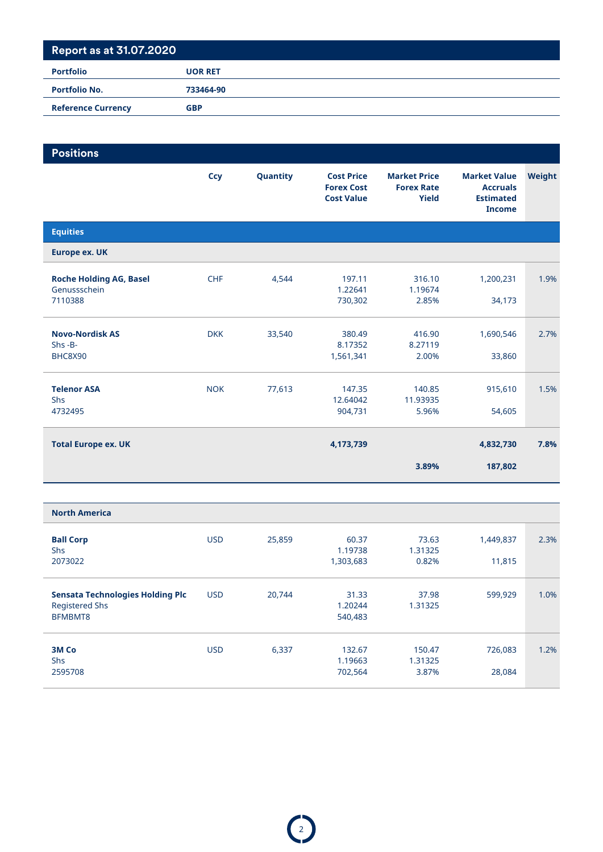| <b>Portfolio</b>          | <b>UOR RET</b> |
|---------------------------|----------------|
| <b>Portfolio No.</b>      | 733464-90      |
| <b>Reference Currency</b> | <b>GBP</b>     |

| <b>Positions</b>                                          |            |          |                                                             |                                                   |                                                                             |        |
|-----------------------------------------------------------|------------|----------|-------------------------------------------------------------|---------------------------------------------------|-----------------------------------------------------------------------------|--------|
|                                                           | <b>Ccy</b> | Quantity | <b>Cost Price</b><br><b>Forex Cost</b><br><b>Cost Value</b> | <b>Market Price</b><br><b>Forex Rate</b><br>Yield | <b>Market Value</b><br><b>Accruals</b><br><b>Estimated</b><br><b>Income</b> | Weight |
| <b>Equities</b>                                           |            |          |                                                             |                                                   |                                                                             |        |
| <b>Europe ex. UK</b>                                      |            |          |                                                             |                                                   |                                                                             |        |
| <b>Roche Holding AG, Basel</b><br>Genussschein<br>7110388 | <b>CHF</b> | 4,544    | 197.11<br>1.22641<br>730,302                                | 316.10<br>1.19674<br>2.85%                        | 1,200,231<br>34,173                                                         | 1.9%   |
| <b>Novo-Nordisk AS</b><br>$Shs - B -$<br>BHC8X90          | <b>DKK</b> | 33,540   | 380.49<br>8.17352<br>1,561,341                              | 416.90<br>8.27119<br>2.00%                        | 1,690,546<br>33,860                                                         | 2.7%   |
| <b>Telenor ASA</b><br>Shs<br>4732495                      | <b>NOK</b> | 77,613   | 147.35<br>12.64042<br>904,731                               | 140.85<br>11.93935<br>5.96%                       | 915,610<br>54,605                                                           | 1.5%   |
| <b>Total Europe ex. UK</b>                                |            |          | 4,173,739                                                   |                                                   | 4,832,730                                                                   | 7.8%   |
|                                                           |            |          |                                                             | 3.89%                                             | 187,802                                                                     |        |
|                                                           |            |          |                                                             |                                                   |                                                                             |        |

| <b>North America</b>                                                 |            |        |                               |                            |                     |      |
|----------------------------------------------------------------------|------------|--------|-------------------------------|----------------------------|---------------------|------|
| <b>Ball Corp</b><br><b>Shs</b><br>2073022                            | <b>USD</b> | 25,859 | 60.37<br>1.19738<br>1,303,683 | 73.63<br>1.31325<br>0.82%  | 1,449,837<br>11,815 | 2.3% |
| Sensata Technologies Holding Plc<br><b>Registered Shs</b><br>BFMBMT8 | <b>USD</b> | 20,744 | 31.33<br>1.20244<br>540,483   | 37.98<br>1.31325           | 599,929             | 1.0% |
| 3M Co<br><b>Shs</b><br>2595708                                       | <b>USD</b> | 6,337  | 132.67<br>1.19663<br>702,564  | 150.47<br>1.31325<br>3.87% | 726,083<br>28,084   | 1.2% |

 $\bigcirc$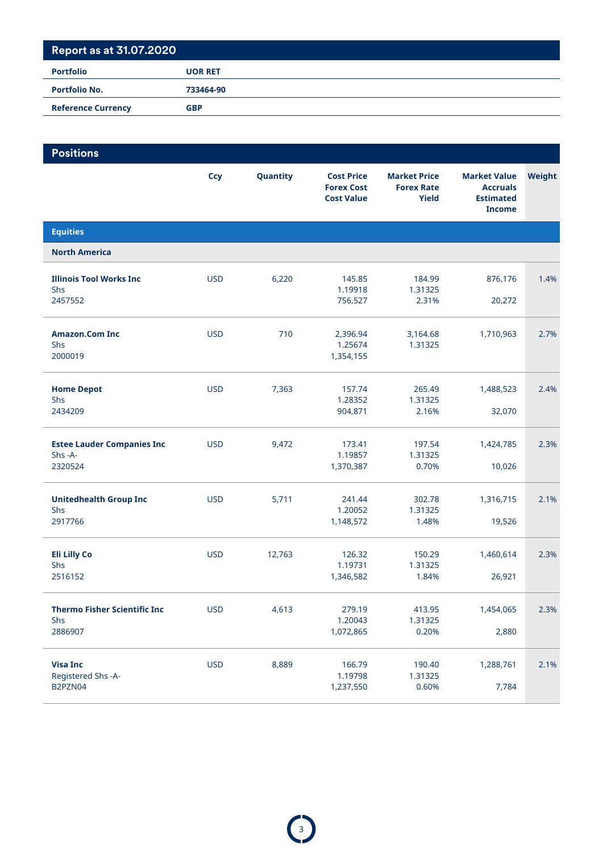| <b>Portfolio No.</b><br>733464-90       | <b>Portfolio</b> | <b>UOR RET</b> |
|-----------------------------------------|------------------|----------------|
|                                         |                  |                |
| <b>Reference Currency</b><br><b>GBP</b> |                  |                |

| <b>Positions</b>                                       |            |          |                                                             |                                                          |                                                                             |        |
|--------------------------------------------------------|------------|----------|-------------------------------------------------------------|----------------------------------------------------------|-----------------------------------------------------------------------------|--------|
|                                                        | <b>Ccy</b> | Quantity | <b>Cost Price</b><br><b>Forex Cost</b><br><b>Cost Value</b> | <b>Market Price</b><br><b>Forex Rate</b><br><b>Yield</b> | <b>Market Value</b><br><b>Accruals</b><br><b>Estimated</b><br><b>Income</b> | Weight |
| <b>Equities</b>                                        |            |          |                                                             |                                                          |                                                                             |        |
| <b>North America</b>                                   |            |          |                                                             |                                                          |                                                                             |        |
| <b>Illinois Tool Works Inc.</b><br>Shs<br>2457552      | <b>USD</b> | 6,220    | 145.85<br>1.19918<br>756,527                                | 184.99<br>1.31325<br>2.31%                               | 876,176<br>20,272                                                           | 1.4%   |
| <b>Amazon.Com Inc</b><br>Shs<br>2000019                | <b>USD</b> | 710      | 2,396.94<br>1.25674<br>1,354,155                            | 3,164.68<br>1.31325                                      | 1,710,963                                                                   | 2.7%   |
| <b>Home Depot</b><br><b>Shs</b><br>2434209             | <b>USD</b> | 7,363    | 157.74<br>1.28352<br>904,871                                | 265.49<br>1.31325<br>2.16%                               | 1,488,523<br>32,070                                                         | 2.4%   |
| <b>Estee Lauder Companies Inc</b><br>Shs-A-<br>2320524 | <b>USD</b> | 9,472    | 173.41<br>1.19857<br>1,370,387                              | 197.54<br>1.31325<br>0.70%                               | 1,424,785<br>10,026                                                         | 2.3%   |
| <b>Unitedhealth Group Inc</b><br>Shs<br>2917766        | <b>USD</b> | 5,711    | 241.44<br>1.20052<br>1,148,572                              | 302.78<br>1.31325<br>1.48%                               | 1,316,715<br>19,526                                                         | 2.1%   |
| <b>Eli Lilly Co</b><br>Shs<br>2516152                  | <b>USD</b> | 12,763   | 126.32<br>1.19731<br>1,346,582                              | 150.29<br>1.31325<br>1.84%                               | 1,460,614<br>26,921                                                         | 2.3%   |
| <b>Thermo Fisher Scientific Inc</b><br>Shs<br>2886907  | <b>USD</b> | 4,613    | 279.19<br>1.20043<br>1,072,865                              | 413.95<br>1.31325<br>0.20%                               | 1,454,065<br>2,880                                                          | 2.3%   |
| <b>Visa Inc</b><br>Registered Shs -A-<br>B2PZN04       | <b>USD</b> | 8,889    | 166.79<br>1.19798<br>1,237,550                              | 190.40<br>1.31325<br>0.60%                               | 1,288,761<br>7,784                                                          | 2.1%   |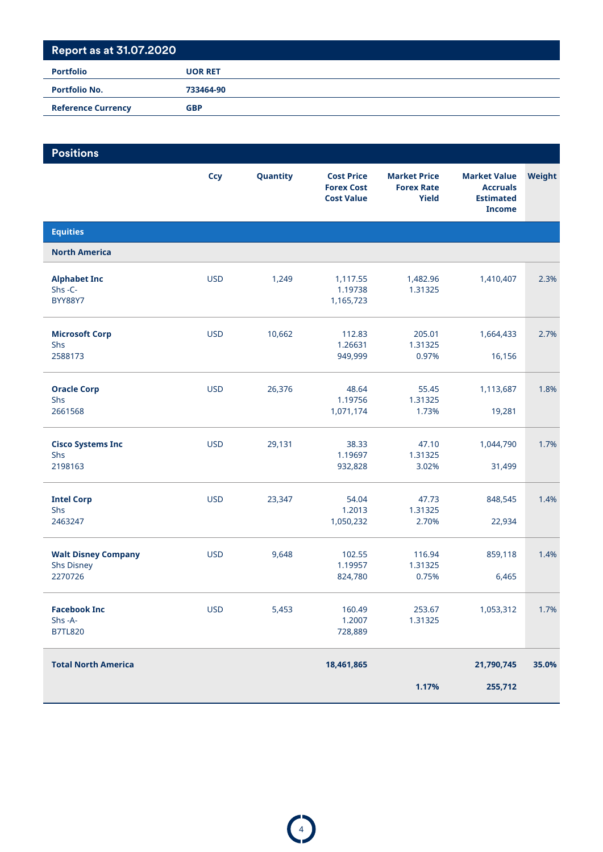| <b>Portfolio No.</b><br>733464-90       | <b>Portfolio</b> | <b>UOR RET</b> |
|-----------------------------------------|------------------|----------------|
|                                         |                  |                |
| <b>Reference Currency</b><br><b>GBP</b> |                  |                |

| <b>Positions</b>                                           |            |          |                                                             |                                                          |                                                                             |        |
|------------------------------------------------------------|------------|----------|-------------------------------------------------------------|----------------------------------------------------------|-----------------------------------------------------------------------------|--------|
|                                                            | <b>Ccy</b> | Quantity | <b>Cost Price</b><br><b>Forex Cost</b><br><b>Cost Value</b> | <b>Market Price</b><br><b>Forex Rate</b><br><b>Yield</b> | <b>Market Value</b><br><b>Accruals</b><br><b>Estimated</b><br><b>Income</b> | Weight |
| <b>Equities</b>                                            |            |          |                                                             |                                                          |                                                                             |        |
| <b>North America</b>                                       |            |          |                                                             |                                                          |                                                                             |        |
| <b>Alphabet Inc</b><br>Shs-C-<br><b>BYY88Y7</b>            | <b>USD</b> | 1,249    | 1,117.55<br>1.19738<br>1,165,723                            | 1,482.96<br>1.31325                                      | 1,410,407                                                                   | 2.3%   |
| <b>Microsoft Corp</b><br>Shs<br>2588173                    | <b>USD</b> | 10,662   | 112.83<br>1.26631<br>949,999                                | 205.01<br>1.31325<br>0.97%                               | 1,664,433<br>16,156                                                         | 2.7%   |
| <b>Oracle Corp</b><br><b>Shs</b><br>2661568                | <b>USD</b> | 26,376   | 48.64<br>1.19756<br>1,071,174                               | 55.45<br>1.31325<br>1.73%                                | 1,113,687<br>19,281                                                         | 1.8%   |
| <b>Cisco Systems Inc</b><br>Shs<br>2198163                 | <b>USD</b> | 29,131   | 38.33<br>1.19697<br>932,828                                 | 47.10<br>1.31325<br>3.02%                                | 1,044,790<br>31,499                                                         | 1.7%   |
| <b>Intel Corp</b><br>Shs<br>2463247                        | <b>USD</b> | 23,347   | 54.04<br>1.2013<br>1,050,232                                | 47.73<br>1.31325<br>2.70%                                | 848,545<br>22,934                                                           | 1.4%   |
| <b>Walt Disney Company</b><br><b>Shs Disney</b><br>2270726 | <b>USD</b> | 9,648    | 102.55<br>1.19957<br>824,780                                | 116.94<br>1.31325<br>0.75%                               | 859,118<br>6,465                                                            | 1.4%   |
| <b>Facebook Inc</b><br>Shs-A-<br><b>B7TL820</b>            | <b>USD</b> | 5,453    | 160.49<br>1.2007<br>728,889                                 | 253.67<br>1.31325                                        | 1,053,312                                                                   | 1.7%   |
| <b>Total North America</b>                                 |            |          | 18,461,865                                                  |                                                          | 21,790,745                                                                  | 35.0%  |
|                                                            |            |          |                                                             | 1.17%                                                    | 255,712                                                                     |        |

 $\bigodot$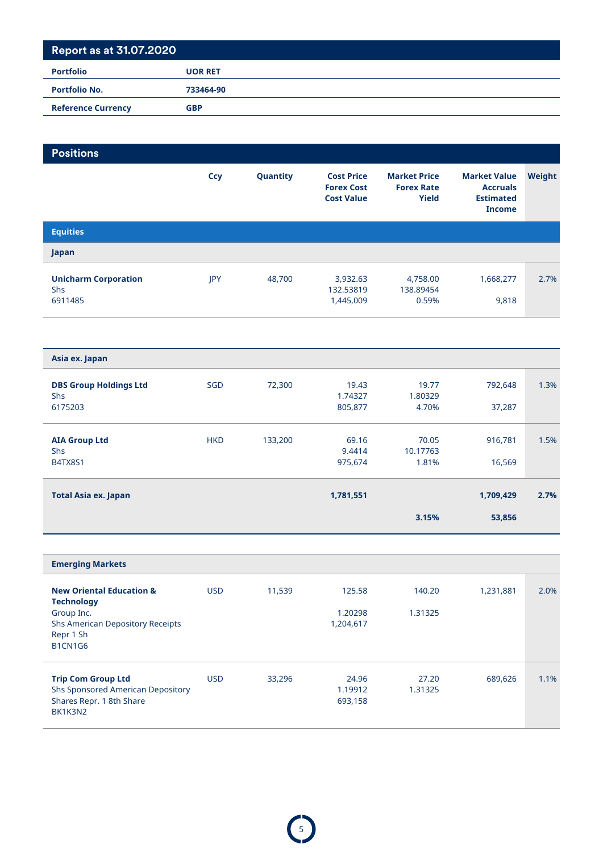# **Report as at 31.07.2020 Portfolio UOR RET Portfolio No. 733464-90 Reference Currency GBP**

| <b>Positions</b>                                                                                             |            |          |                                                             |                                                          |                                                                             |        |
|--------------------------------------------------------------------------------------------------------------|------------|----------|-------------------------------------------------------------|----------------------------------------------------------|-----------------------------------------------------------------------------|--------|
|                                                                                                              | <b>Ccy</b> | Quantity | <b>Cost Price</b><br><b>Forex Cost</b><br><b>Cost Value</b> | <b>Market Price</b><br><b>Forex Rate</b><br><b>Yield</b> | <b>Market Value</b><br><b>Accruals</b><br><b>Estimated</b><br><b>Income</b> | Weight |
| <b>Equities</b>                                                                                              |            |          |                                                             |                                                          |                                                                             |        |
| Japan                                                                                                        |            |          |                                                             |                                                          |                                                                             |        |
| <b>Unicharm Corporation</b><br>Shs<br>6911485                                                                | JPY        | 48,700   | 3,932.63<br>132.53819<br>1,445,009                          | 4,758.00<br>138.89454<br>0.59%                           | 1,668,277<br>9,818                                                          | 2.7%   |
|                                                                                                              |            |          |                                                             |                                                          |                                                                             |        |
| Asia ex. Japan                                                                                               |            |          |                                                             |                                                          |                                                                             |        |
| <b>DBS Group Holdings Ltd</b><br><b>Shs</b><br>6175203                                                       | SGD        | 72,300   | 19.43<br>1.74327<br>805,877                                 | 19.77<br>1.80329<br>4.70%                                | 792,648<br>37,287                                                           | 1.3%   |
| <b>AIA Group Ltd</b><br>Shs<br><b>B4TX8S1</b>                                                                | <b>HKD</b> | 133,200  | 69.16<br>9.4414<br>975,674                                  | 70.05<br>10.17763<br>1.81%                               | 916,781<br>16,569                                                           | 1.5%   |
| <b>Total Asia ex. Japan</b>                                                                                  |            |          | 1,781,551                                                   |                                                          | 1,709,429                                                                   | 2.7%   |
|                                                                                                              |            |          |                                                             | 3.15%                                                    | 53,856                                                                      |        |
|                                                                                                              |            |          |                                                             |                                                          |                                                                             |        |
| <b>Emerging Markets</b>                                                                                      |            |          |                                                             |                                                          |                                                                             |        |
| <b>New Oriental Education &amp;</b><br><b>Technology</b>                                                     | <b>USD</b> | 11,539   | 125.58                                                      | 140.20                                                   | 1,231,881                                                                   | 2.0%   |
| Group Inc.<br><b>Shs American Depository Receipts</b><br>Repr 1 Sh<br>B1CN1G6                                |            |          | 1.20298<br>1,204,617                                        | 1.31325                                                  |                                                                             |        |
| <b>Trip Com Group Ltd</b><br><b>Shs Sponsored American Depository</b><br>Shares Repr. 1 8th Share<br>BK1K3N2 | <b>USD</b> | 33,296   | 24.96<br>1.19912<br>693,158                                 | 27.20<br>1.31325                                         | 689,626                                                                     | 1.1%   |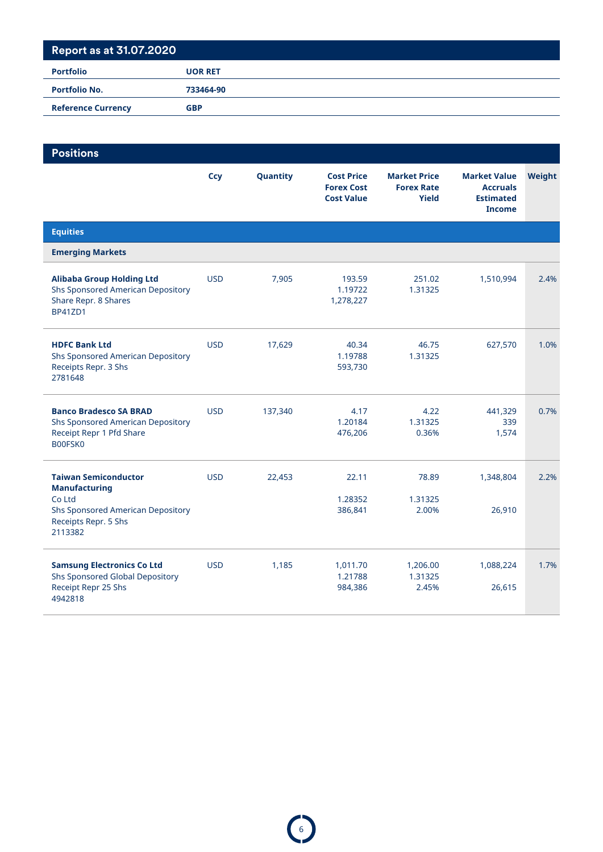| <b>Portfolio No.</b><br>733464-90       |  |
|-----------------------------------------|--|
|                                         |  |
| <b>Reference Currency</b><br><b>GBP</b> |  |

| <b>Positions</b>                                                                                                                             |            |          |                                                             |                                                   |                                                                             |        |
|----------------------------------------------------------------------------------------------------------------------------------------------|------------|----------|-------------------------------------------------------------|---------------------------------------------------|-----------------------------------------------------------------------------|--------|
|                                                                                                                                              | Ccy        | Quantity | <b>Cost Price</b><br><b>Forex Cost</b><br><b>Cost Value</b> | <b>Market Price</b><br><b>Forex Rate</b><br>Yield | <b>Market Value</b><br><b>Accruals</b><br><b>Estimated</b><br><b>Income</b> | Weight |
| <b>Equities</b>                                                                                                                              |            |          |                                                             |                                                   |                                                                             |        |
| <b>Emerging Markets</b>                                                                                                                      |            |          |                                                             |                                                   |                                                                             |        |
| <b>Alibaba Group Holding Ltd</b><br><b>Shs Sponsored American Depository</b><br>Share Repr. 8 Shares<br><b>BP41ZD1</b>                       | <b>USD</b> | 7,905    | 193.59<br>1.19722<br>1,278,227                              | 251.02<br>1.31325                                 | 1,510,994                                                                   | 2.4%   |
| <b>HDFC Bank Ltd</b><br><b>Shs Sponsored American Depository</b><br>Receipts Repr. 3 Shs<br>2781648                                          | <b>USD</b> | 17,629   | 40.34<br>1.19788<br>593,730                                 | 46.75<br>1.31325                                  | 627,570                                                                     | 1.0%   |
| <b>Banco Bradesco SA BRAD</b><br><b>Shs Sponsored American Depository</b><br>Receipt Repr 1 Pfd Share<br>B00FSK0                             | <b>USD</b> | 137,340  | 4.17<br>1.20184<br>476,206                                  | 4.22<br>1.31325<br>0.36%                          | 441,329<br>339<br>1,574                                                     | 0.7%   |
| <b>Taiwan Semiconductor</b><br><b>Manufacturing</b><br>Co Ltd<br><b>Shs Sponsored American Depository</b><br>Receipts Repr. 5 Shs<br>2113382 | <b>USD</b> | 22,453   | 22.11<br>1.28352<br>386,841                                 | 78.89<br>1.31325<br>2.00%                         | 1,348,804<br>26,910                                                         | 2.2%   |
| <b>Samsung Electronics Co Ltd</b><br>Shs Sponsored Global Depository<br>Receipt Repr 25 Shs<br>4942818                                       | <b>USD</b> | 1,185    | 1,011.70<br>1.21788<br>984,386                              | 1,206.00<br>1.31325<br>2.45%                      | 1,088,224<br>26,615                                                         | 1.7%   |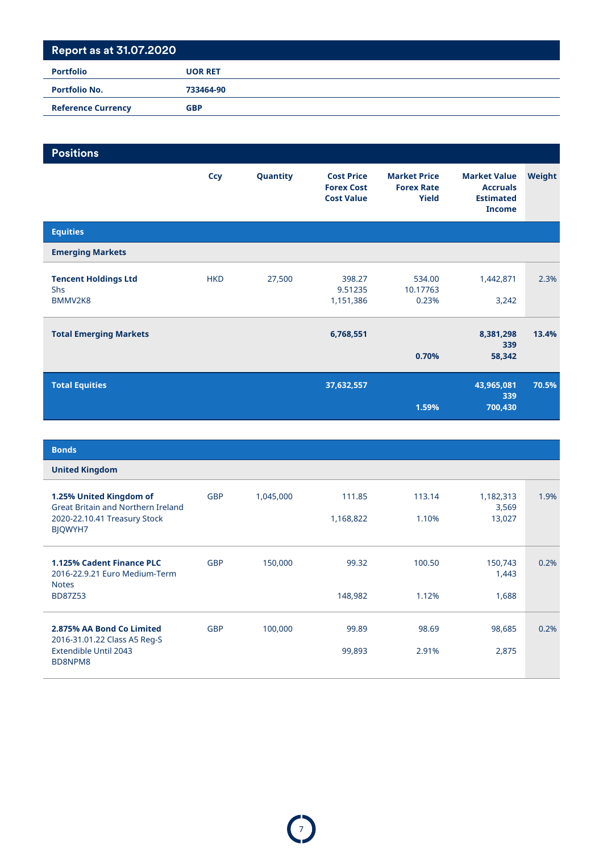#### **Report as at 31.07.2020 Portfolio UOR RET**

| <b>Portfolio No.</b>      | 733464-90  |  |
|---------------------------|------------|--|
| <b>Reference Currency</b> | <b>GBP</b> |  |

| <b>Positions</b>                                     |            |          |                                                             |                                                          |                                                                             |        |
|------------------------------------------------------|------------|----------|-------------------------------------------------------------|----------------------------------------------------------|-----------------------------------------------------------------------------|--------|
|                                                      | <b>Ccy</b> | Quantity | <b>Cost Price</b><br><b>Forex Cost</b><br><b>Cost Value</b> | <b>Market Price</b><br><b>Forex Rate</b><br><b>Yield</b> | <b>Market Value</b><br><b>Accruals</b><br><b>Estimated</b><br><b>Income</b> | Weight |
| <b>Equities</b>                                      |            |          |                                                             |                                                          |                                                                             |        |
| <b>Emerging Markets</b>                              |            |          |                                                             |                                                          |                                                                             |        |
| <b>Tencent Holdings Ltd</b><br><b>Shs</b><br>BMMV2K8 | <b>HKD</b> | 27,500   | 398.27<br>9.51235<br>1,151,386                              | 534.00<br>10.17763<br>0.23%                              | 1,442,871<br>3,242                                                          | 2.3%   |
| <b>Total Emerging Markets</b>                        |            |          | 6,768,551                                                   | 0.70%                                                    | 8,381,298<br>339<br>58,342                                                  | 13.4%  |
| <b>Total Equities</b>                                |            |          | 37,632,557                                                  | 1.59%                                                    | 43,965,081<br>339<br>700,430                                                | 70.5%  |

| <b>Bonds</b>                                                                      |            |           |           |        |                    |      |
|-----------------------------------------------------------------------------------|------------|-----------|-----------|--------|--------------------|------|
| <b>United Kingdom</b>                                                             |            |           |           |        |                    |      |
| 1.25% United Kingdom of<br><b>Great Britain and Northern Ireland</b>              | <b>GBP</b> | 1,045,000 | 111.85    | 113.14 | 1,182,313<br>3,569 | 1.9% |
| 2020-22.10.41 Treasury Stock<br><b>BJQWYH7</b>                                    |            |           | 1,168,822 | 1.10%  | 13,027             |      |
| <b>1.125% Cadent Finance PLC</b><br>2016-22.9.21 Euro Medium-Term<br><b>Notes</b> | <b>GBP</b> | 150,000   | 99.32     | 100.50 | 150,743<br>1,443   | 0.2% |
| <b>BD87Z53</b>                                                                    |            |           | 148,982   | 1.12%  | 1,688              |      |
| 2.875% AA Bond Co Limited                                                         | <b>GBP</b> | 100,000   | 99.89     | 98.69  | 98,685             | 0.2% |
| 2016-31.01.22 Class A5 Reg-S<br>Extendible Until 2043<br>BD8NPM8                  |            |           | 99,893    | 2.91%  | 2,875              |      |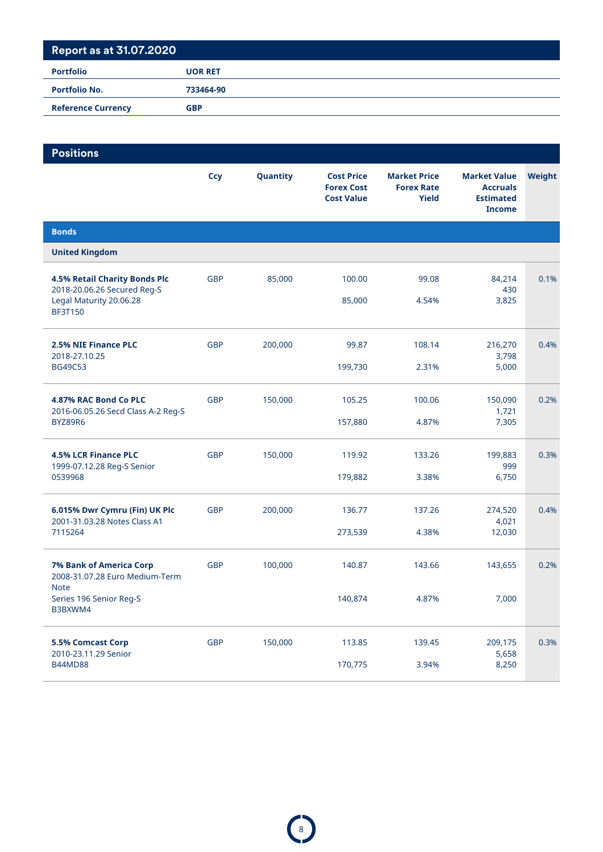| <b>Portfolio</b>          | <b>UOR RET</b> |
|---------------------------|----------------|
| <b>Portfolio No.</b>      | 733464-90      |
| <b>Reference Currency</b> | <b>GBP</b>     |
|                           |                |

| <b>Positions</b>                                                 |            |          |                                                             |                                                   |                                                                             |        |
|------------------------------------------------------------------|------------|----------|-------------------------------------------------------------|---------------------------------------------------|-----------------------------------------------------------------------------|--------|
|                                                                  | <b>Ccy</b> | Quantity | <b>Cost Price</b><br><b>Forex Cost</b><br><b>Cost Value</b> | <b>Market Price</b><br><b>Forex Rate</b><br>Yield | <b>Market Value</b><br><b>Accruals</b><br><b>Estimated</b><br><b>Income</b> | Weight |
| <b>Bonds</b>                                                     |            |          |                                                             |                                                   |                                                                             |        |
| <b>United Kingdom</b>                                            |            |          |                                                             |                                                   |                                                                             |        |
| 4.5% Retail Charity Bonds Plc<br>2018-20.06.26 Secured Reg-S     | <b>GBP</b> | 85,000   | 100.00                                                      | 99.08                                             | 84,214<br>430                                                               | 0.1%   |
| Legal Maturity 20.06.28<br><b>BF3T150</b>                        |            |          | 85,000                                                      | 4.54%                                             | 3,825                                                                       |        |
| 2.5% NIE Finance PLC<br>2018-27.10.25                            | <b>GBP</b> | 200,000  | 99.87                                                       | 108.14                                            | 216,270<br>3,798                                                            | 0.4%   |
| <b>BG49C53</b>                                                   |            |          | 199,730                                                     | 2.31%                                             | 5,000                                                                       |        |
| 4.87% RAC Bond Co PLC                                            | <b>GBP</b> | 150,000  | 105.25                                                      | 100.06                                            | 150,090<br>1,721                                                            | 0.2%   |
| 2016-06.05.26 Secd Class A-2 Reg-S<br>BYZ89R6                    |            |          | 157,880                                                     | 4.87%                                             | 7,305                                                                       |        |
| <b>4.5% LCR Finance PLC</b><br>1999-07.12.28 Reg-S Senior        | <b>GBP</b> | 150,000  | 119.92                                                      | 133.26                                            | 199,883<br>999                                                              | 0.3%   |
| 0539968                                                          |            |          | 179,882                                                     | 3.38%                                             | 6,750                                                                       |        |
| 6.015% Dwr Cymru (Fin) UK Plc<br>2001-31.03.28 Notes Class A1    | <b>GBP</b> | 200,000  | 136.77                                                      | 137.26                                            | 274,520<br>4,021                                                            | 0.4%   |
| 7115264                                                          |            |          | 273,539                                                     | 4.38%                                             | 12,030                                                                      |        |
| <b>7% Bank of America Corp</b><br>2008-31.07.28 Euro Medium-Term | <b>GBP</b> | 100,000  | 140.87                                                      | 143.66                                            | 143,655                                                                     | 0.2%   |
| <b>Note</b><br>Series 196 Senior Reg-S<br>B3BXWM4                |            |          | 140,874                                                     | 4.87%                                             | 7,000                                                                       |        |
| 5.5% Comcast Corp<br>2010-23.11.29 Senior                        | GBP        | 150,000  | 113.85                                                      | 139.45                                            | 209,175<br>5,658                                                            | 0.3%   |
| <b>B44MD88</b>                                                   |            |          | 170,775                                                     | 3.94%                                             | 8,250                                                                       |        |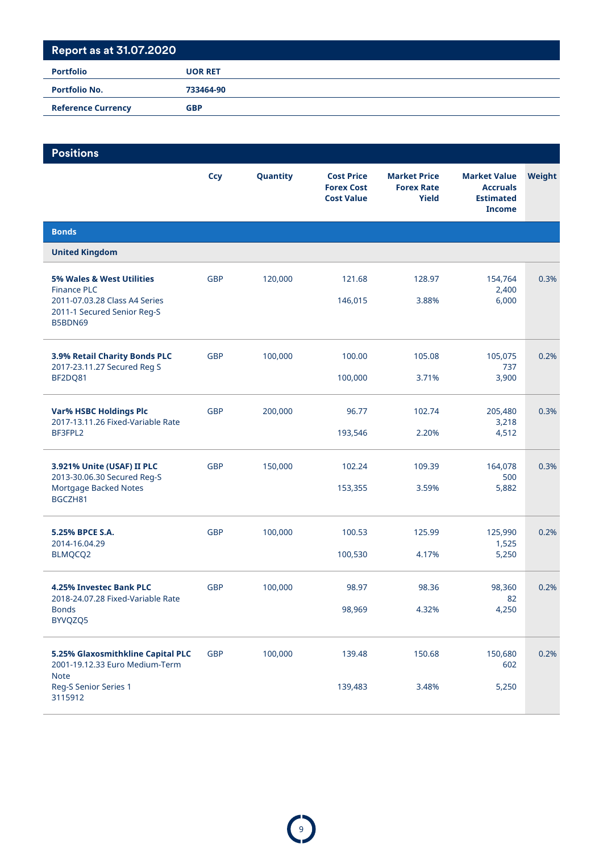| <b>Portfolio</b>          | <b>UOR RET</b> |
|---------------------------|----------------|
| <b>Portfolio No.</b>      | 733464-90      |
| <b>Reference Currency</b> | <b>GBP</b>     |
|                           |                |

| <b>Positions</b>                                                                                                           |            |          |                                                             |                                                          |                                                                             |        |
|----------------------------------------------------------------------------------------------------------------------------|------------|----------|-------------------------------------------------------------|----------------------------------------------------------|-----------------------------------------------------------------------------|--------|
|                                                                                                                            | <b>Ccy</b> | Quantity | <b>Cost Price</b><br><b>Forex Cost</b><br><b>Cost Value</b> | <b>Market Price</b><br><b>Forex Rate</b><br><b>Yield</b> | <b>Market Value</b><br><b>Accruals</b><br><b>Estimated</b><br><b>Income</b> | Weight |
| <b>Bonds</b>                                                                                                               |            |          |                                                             |                                                          |                                                                             |        |
| <b>United Kingdom</b>                                                                                                      |            |          |                                                             |                                                          |                                                                             |        |
| 5% Wales & West Utilities<br><b>Finance PLC</b><br>2011-07.03.28 Class A4 Series<br>2011-1 Secured Senior Reg-S<br>B5BDN69 | <b>GBP</b> | 120,000  | 121.68<br>146,015                                           | 128.97<br>3.88%                                          | 154,764<br>2,400<br>6,000                                                   | 0.3%   |
|                                                                                                                            |            |          |                                                             |                                                          |                                                                             |        |
| 3.9% Retail Charity Bonds PLC<br>2017-23.11.27 Secured Reg S                                                               | <b>GBP</b> | 100,000  | 100.00                                                      | 105.08                                                   | 105,075<br>737                                                              | 0.2%   |
| BF2DQ81                                                                                                                    |            |          | 100,000                                                     | 3.71%                                                    | 3,900                                                                       |        |
| <b>Var% HSBC Holdings Plc</b><br>2017-13.11.26 Fixed-Variable Rate                                                         | <b>GBP</b> | 200,000  | 96.77                                                       | 102.74                                                   | 205,480<br>3,218                                                            | 0.3%   |
| BF3FPL2                                                                                                                    |            |          | 193,546                                                     | 2.20%                                                    | 4,512                                                                       |        |
| 3.921% Unite (USAF) II PLC<br>2013-30.06.30 Secured Reg-S                                                                  | <b>GBP</b> | 150,000  | 102.24                                                      | 109.39                                                   | 164,078<br>500                                                              | 0.3%   |
| Mortgage Backed Notes<br>BGCZH81                                                                                           |            |          | 153,355                                                     | 3.59%                                                    | 5,882                                                                       |        |
| 5.25% BPCE S.A.                                                                                                            | <b>GBP</b> | 100,000  | 100.53                                                      | 125.99                                                   | 125,990                                                                     | 0.2%   |
| 2014-16.04.29<br><b>BLMQCQ2</b>                                                                                            |            |          | 100,530                                                     | 4.17%                                                    | 1,525<br>5,250                                                              |        |
| 4.25% Investec Bank PLC<br>2018-24.07.28 Fixed-Variable Rate                                                               | <b>GBP</b> | 100,000  | 98.97                                                       | 98.36                                                    | 98,360<br>82                                                                | 0.2%   |
| <b>Bonds</b><br>BYVQZQ5                                                                                                    |            |          | 98,969                                                      | 4.32%                                                    | 4,250                                                                       |        |
| 5.25% Glaxosmithkline Capital PLC<br>2001-19.12.33 Euro Medium-Term                                                        | <b>GBP</b> | 100,000  | 139.48                                                      | 150.68                                                   | 150,680<br>602                                                              | 0.2%   |
| <b>Note</b><br>Reg-S Senior Series 1<br>3115912                                                                            |            |          | 139,483                                                     | 3.48%                                                    | 5,250                                                                       |        |

 $\bigodot$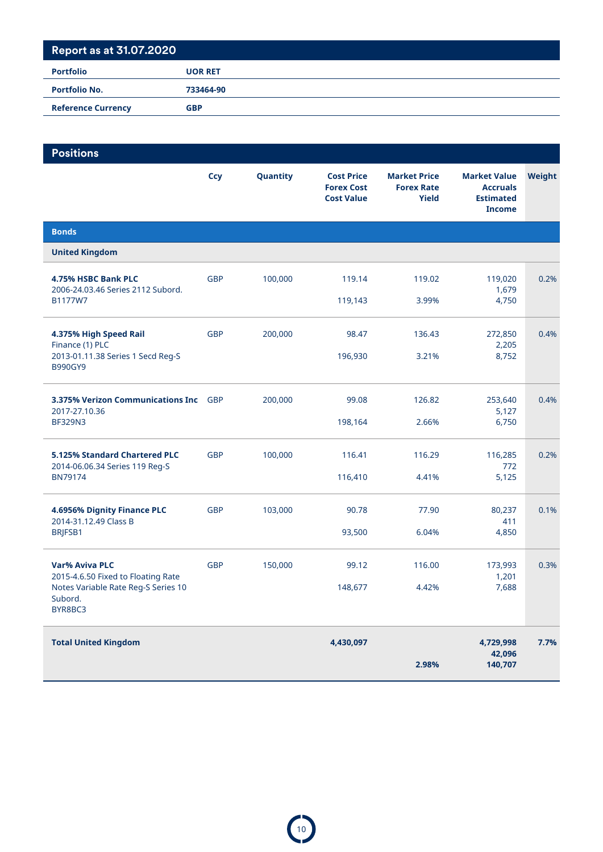| <b>Portfolio</b>          | <b>UOR RET</b> |
|---------------------------|----------------|
| <b>Portfolio No.</b>      | 733464-90      |
| <b>Reference Currency</b> | <b>GBP</b>     |

| <b>Positions</b>                                                |            |          |                                                             |                                                          |                                                                             |        |
|-----------------------------------------------------------------|------------|----------|-------------------------------------------------------------|----------------------------------------------------------|-----------------------------------------------------------------------------|--------|
|                                                                 | <b>Ccy</b> | Quantity | <b>Cost Price</b><br><b>Forex Cost</b><br><b>Cost Value</b> | <b>Market Price</b><br><b>Forex Rate</b><br><b>Yield</b> | <b>Market Value</b><br><b>Accruals</b><br><b>Estimated</b><br><b>Income</b> | Weight |
| <b>Bonds</b>                                                    |            |          |                                                             |                                                          |                                                                             |        |
| <b>United Kingdom</b>                                           |            |          |                                                             |                                                          |                                                                             |        |
| 4.75% HSBC Bank PLC<br>2006-24.03.46 Series 2112 Subord.        | <b>GBP</b> | 100,000  | 119.14                                                      | 119.02                                                   | 119,020<br>1,679                                                            | 0.2%   |
| B1177W7                                                         |            |          | 119,143                                                     | 3.99%                                                    | 4,750                                                                       |        |
| 4.375% High Speed Rail<br>Finance (1) PLC                       | <b>GBP</b> | 200,000  | 98.47                                                       | 136.43                                                   | 272,850<br>2,205                                                            | 0.4%   |
| 2013-01.11.38 Series 1 Secd Reg-S<br><b>B990GY9</b>             |            |          | 196,930                                                     | 3.21%                                                    | 8,752                                                                       |        |
| <b>3.375% Verizon Communications Inc</b> GBP<br>2017-27.10.36   |            | 200,000  | 99.08                                                       | 126.82                                                   | 253,640<br>5,127                                                            | 0.4%   |
| <b>BF329N3</b>                                                  |            |          | 198,164                                                     | 2.66%                                                    | 6,750                                                                       |        |
| 5.125% Standard Chartered PLC<br>2014-06.06.34 Series 119 Reg-S | <b>GBP</b> | 100,000  | 116.41                                                      | 116.29                                                   | 116,285<br>772                                                              | 0.2%   |
| <b>BN79174</b>                                                  |            |          | 116,410                                                     | 4.41%                                                    | 5,125                                                                       |        |
| 4.6956% Dignity Finance PLC<br>2014-31.12.49 Class B            | <b>GBP</b> | 103,000  | 90.78                                                       | 77.90                                                    | 80,237<br>411                                                               | 0.1%   |
| BRJFSB1                                                         |            |          | 93,500                                                      | 6.04%                                                    | 4,850                                                                       |        |
| <b>Var% Aviva PLC</b><br>2015-4.6.50 Fixed to Floating Rate     | <b>GBP</b> | 150,000  | 99.12                                                       | 116.00                                                   | 173,993<br>1,201                                                            | 0.3%   |
| Notes Variable Rate Reg-S Series 10<br>Subord.<br>BYR8BC3       |            |          | 148,677                                                     | 4.42%                                                    | 7,688                                                                       |        |
| <b>Total United Kingdom</b>                                     |            |          | 4,430,097                                                   | 2.98%                                                    | 4,729,998<br>42,096<br>140,707                                              | 7.7%   |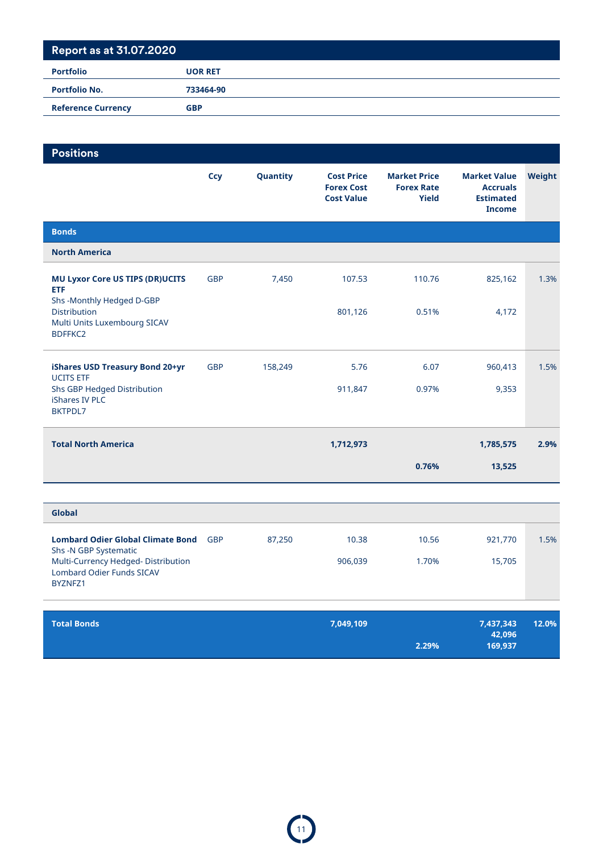| <b>Portfolio</b>          | <b>UOR RET</b> |
|---------------------------|----------------|
| <b>Portfolio No.</b>      | 733464-90      |
| <b>Reference Currency</b> | <b>GBP</b>     |

| <b>Positions</b>                                                                                    |            |          |                                                             |                                                   |                                                                             |        |
|-----------------------------------------------------------------------------------------------------|------------|----------|-------------------------------------------------------------|---------------------------------------------------|-----------------------------------------------------------------------------|--------|
|                                                                                                     | <b>Ccy</b> | Quantity | <b>Cost Price</b><br><b>Forex Cost</b><br><b>Cost Value</b> | <b>Market Price</b><br><b>Forex Rate</b><br>Yield | <b>Market Value</b><br><b>Accruals</b><br><b>Estimated</b><br><b>Income</b> | Weight |
| <b>Bonds</b>                                                                                        |            |          |                                                             |                                                   |                                                                             |        |
| <b>North America</b>                                                                                |            |          |                                                             |                                                   |                                                                             |        |
| <b>MU Lyxor Core US TIPS (DR)UCITS</b><br><b>ETF</b><br>Shs-Monthly Hedged D-GBP                    | <b>GBP</b> | 7,450    | 107.53                                                      | 110.76                                            | 825,162                                                                     | 1.3%   |
| <b>Distribution</b><br>Multi Units Luxembourg SICAV<br><b>BDFFKC2</b>                               |            |          | 801,126                                                     | 0.51%                                             | 4,172                                                                       |        |
| iShares USD Treasury Bond 20+yr                                                                     | <b>GBP</b> | 158,249  | 5.76                                                        | 6.07                                              | 960,413                                                                     | 1.5%   |
| <b>UCITS ETF</b><br>Shs GBP Hedged Distribution<br>iShares IV PLC<br><b>BKTPDL7</b>                 |            |          | 911,847                                                     | 0.97%                                             | 9,353                                                                       |        |
| <b>Total North America</b>                                                                          |            |          | 1,712,973                                                   |                                                   | 1,785,575                                                                   | 2.9%   |
|                                                                                                     |            |          |                                                             | 0.76%                                             | 13,525                                                                      |        |
|                                                                                                     |            |          |                                                             |                                                   |                                                                             |        |
| Global                                                                                              |            |          |                                                             |                                                   |                                                                             |        |
| <b>Lombard Odier Global Climate Bond</b>                                                            | <b>GBP</b> | 87,250   | 10.38                                                       | 10.56                                             | 921,770                                                                     | 1.5%   |
| Shs -N GBP Systematic<br>Multi-Currency Hedged-Distribution<br>Lombard Odier Funds SICAV<br>BYZNFZ1 |            |          | 906,039                                                     | 1.70%                                             | 15,705                                                                      |        |
|                                                                                                     |            |          |                                                             |                                                   |                                                                             |        |

| <b>Total Bonds</b> | 7,049,109 | 7,437,343 | 12.0% |
|--------------------|-----------|-----------|-------|
|                    |           | 42.096    |       |
|                    | 2.29%     | 169.937   |       |
|                    |           |           |       |

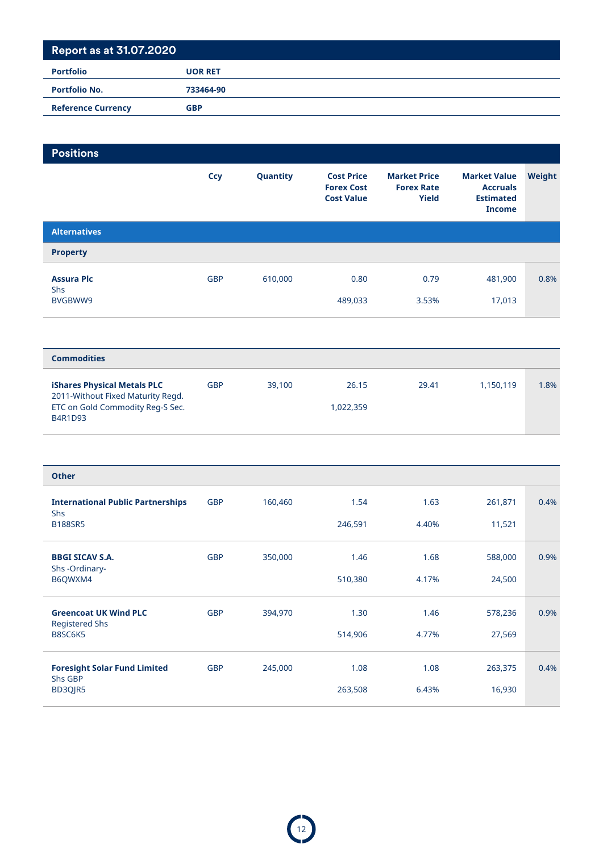# **Report as at 31.07.2020 Portfolio UOR RET Portfolio No. 733464-90 Reference Currency GBP**

| <b>Positions</b>                                                 |            |          |                                                             |                                                          |                                                                             |        |
|------------------------------------------------------------------|------------|----------|-------------------------------------------------------------|----------------------------------------------------------|-----------------------------------------------------------------------------|--------|
|                                                                  | <b>Ccy</b> | Quantity | <b>Cost Price</b><br><b>Forex Cost</b><br><b>Cost Value</b> | <b>Market Price</b><br><b>Forex Rate</b><br><b>Yield</b> | <b>Market Value</b><br><b>Accruals</b><br><b>Estimated</b><br><b>Income</b> | Weight |
| <b>Alternatives</b>                                              |            |          |                                                             |                                                          |                                                                             |        |
| <b>Property</b>                                                  |            |          |                                                             |                                                          |                                                                             |        |
| <b>Assura Plc</b>                                                | <b>GBP</b> | 610,000  | 0.80                                                        | 0.79                                                     | 481,900                                                                     | 0.8%   |
| Shs<br>BVGBWW9                                                   |            |          | 489,033                                                     | 3.53%                                                    | 17,013                                                                      |        |
|                                                                  |            |          |                                                             |                                                          |                                                                             |        |
| <b>Commodities</b>                                               |            |          |                                                             |                                                          |                                                                             |        |
| iShares Physical Metals PLC<br>2011-Without Fixed Maturity Regd. | <b>GBP</b> | 39,100   | 26.15                                                       | 29.41                                                    | 1,150,119                                                                   | 1.8%   |
| ETC on Gold Commodity Reg-S Sec.<br>B4R1D93                      |            |          | 1,022,359                                                   |                                                          |                                                                             |        |
|                                                                  |            |          |                                                             |                                                          |                                                                             |        |
| <b>Other</b>                                                     |            |          |                                                             |                                                          |                                                                             |        |
| <b>International Public Partnerships</b>                         | <b>GBP</b> | 160,460  | 1.54                                                        | 1.63                                                     | 261,871                                                                     | 0.4%   |
| <b>Shs</b><br><b>B188SR5</b>                                     |            |          | 246,591                                                     | 4.40%                                                    | 11,521                                                                      |        |
| <b>BBGI SICAV S.A.</b>                                           | <b>GBP</b> | 350,000  | 1.46                                                        | 1.68                                                     | 588,000                                                                     | 0.9%   |
| Shs-Ordinary-<br>B6QWXM4                                         |            |          | 510,380                                                     | 4.17%                                                    | 24,500                                                                      |        |
| <b>Greencoat UK Wind PLC</b>                                     | <b>GBP</b> | 394,970  | 1.30                                                        | 1.46                                                     | 578,236                                                                     | 0.9%   |
| <b>Registered Shs</b><br>B8SC6K5                                 |            |          | 514,906                                                     | 4.77%                                                    | 27,569                                                                      |        |
| <b>Foresight Solar Fund Limited</b><br>Shs GBP                   | <b>GBP</b> | 245,000  | 1.08                                                        | 1.08                                                     | 263,375                                                                     | 0.4%   |
| BD3QJR5                                                          |            |          | 263,508                                                     | 6.43%                                                    | 16,930                                                                      |        |

12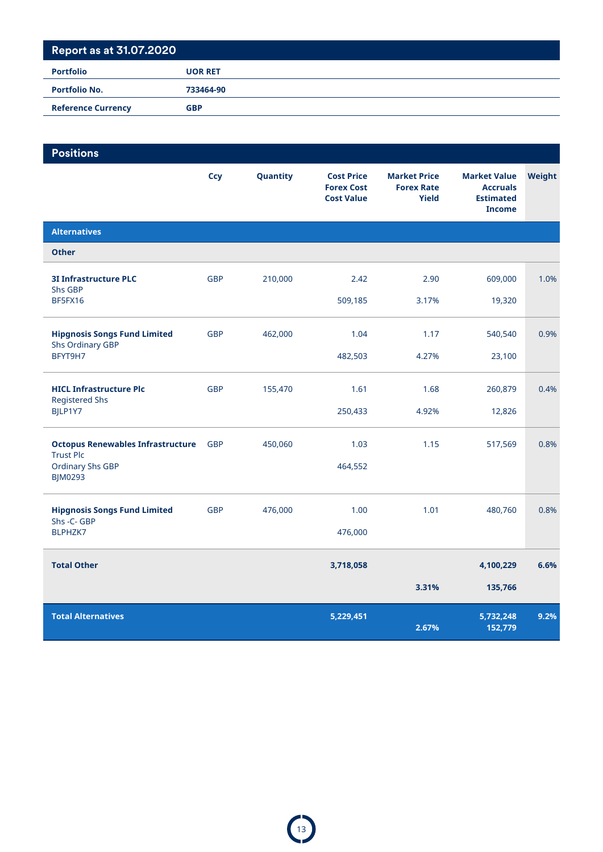| <b>Portfolio No.</b>      | 733464-90  |
|---------------------------|------------|
| <b>Reference Currency</b> | <b>GBP</b> |

| <b>Positions</b>                                             |            |          |                                                             |                                                          |                                                                             |        |
|--------------------------------------------------------------|------------|----------|-------------------------------------------------------------|----------------------------------------------------------|-----------------------------------------------------------------------------|--------|
|                                                              | <b>Ccy</b> | Quantity | <b>Cost Price</b><br><b>Forex Cost</b><br><b>Cost Value</b> | <b>Market Price</b><br><b>Forex Rate</b><br><b>Yield</b> | <b>Market Value</b><br><b>Accruals</b><br><b>Estimated</b><br><b>Income</b> | Weight |
| <b>Alternatives</b>                                          |            |          |                                                             |                                                          |                                                                             |        |
| <b>Other</b>                                                 |            |          |                                                             |                                                          |                                                                             |        |
| <b>3I Infrastructure PLC</b><br>Shs GBP                      | <b>GBP</b> | 210,000  | 2.42                                                        | 2.90                                                     | 609,000                                                                     | 1.0%   |
| BF5FX16                                                      |            |          | 509,185                                                     | 3.17%                                                    | 19,320                                                                      |        |
| <b>Hipgnosis Songs Fund Limited</b><br>Shs Ordinary GBP      | <b>GBP</b> | 462,000  | 1.04                                                        | 1.17                                                     | 540,540                                                                     | 0.9%   |
| BFYT9H7                                                      |            |          | 482,503                                                     | 4.27%                                                    | 23,100                                                                      |        |
| <b>HICL Infrastructure Plc</b><br><b>Registered Shs</b>      | <b>GBP</b> | 155,470  | 1.61                                                        | 1.68                                                     | 260,879                                                                     | 0.4%   |
| BJLP1Y7                                                      |            |          | 250,433                                                     | 4.92%                                                    | 12,826                                                                      |        |
| <b>Octopus Renewables Infrastructure</b><br><b>Trust Plc</b> | <b>GBP</b> | 450,060  | 1.03                                                        | 1.15                                                     | 517,569                                                                     | 0.8%   |
| <b>Ordinary Shs GBP</b><br><b>BJM0293</b>                    |            |          | 464,552                                                     |                                                          |                                                                             |        |
| <b>Hipgnosis Songs Fund Limited</b><br>Shs - C- GBP          | <b>GBP</b> | 476,000  | 1.00                                                        | 1.01                                                     | 480,760                                                                     | 0.8%   |
| BLPHZK7                                                      |            |          | 476,000                                                     |                                                          |                                                                             |        |
| <b>Total Other</b>                                           |            |          | 3,718,058                                                   |                                                          | 4,100,229                                                                   | 6.6%   |
|                                                              |            |          |                                                             | 3.31%                                                    | 135,766                                                                     |        |
| <b>Total Alternatives</b>                                    |            |          | 5,229,451                                                   | 2.67%                                                    | 5,732,248<br>152,779                                                        | 9.2%   |